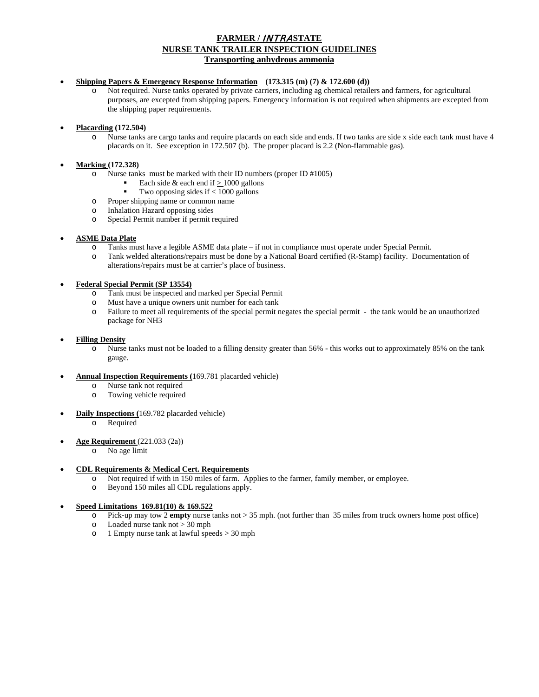# **FARMER /** INTRA**STATE NURSE TANK TRAILER INSPECTION GUIDELINES Transporting anhydrous ammonia**

# • **Shipping Papers & Emergency Response Information (173.315 (m) (7) & 172.600 (d))**

o Not required. Nurse tanks operated by private carriers, including ag chemical retailers and farmers, for agricultural purposes, are excepted from shipping papers. Emergency information is not required when shipments are excepted from the shipping paper requirements.

• **Placarding (172.504)** 

o Nurse tanks are cargo tanks and require placards on each side and ends. If two tanks are side x side each tank must have 4 placards on it. See exception in 172.507 (b). The proper placard is 2.2 (Non-flammable gas).

# • **Marking (172.328)**

- o Nurse tanks must be marked with their ID numbers (proper ID #1005)
	- Each side & each end if  $\geq$  1000 gallons
	- Two opposing sides if < 1000 gallons
- o Proper shipping name or common name
- o Inhalation Hazard opposing sides
- o Special Permit number if permit required

### • **ASME Data Plate**

- o Tanks must have a legible ASME data plate if not in compliance must operate under Special Permit.
- o Tank welded alterations/repairs must be done by a National Board certified (R-Stamp) facility. Documentation of alterations/repairs must be at carrier's place of business.

#### • **Federal Special Permit (SP 13554)**

- o Tank must be inspected and marked per Special Permit
- o Must have a unique owners unit number for each tank
- o Failure to meet all requirements of the special permit negates the special permit the tank would be an unauthorized package for NH3

#### • **Filling Density**

o Nurse tanks must not be loaded to a filling density greater than 56% - this works out to approximately 85% on the tank gauge.

#### • **Annual Inspection Requirements (**169.781 placarded vehicle)

- o Nurse tank not required
- o Towing vehicle required
- **Daily Inspections (**169.782 placarded vehicle)
	- o Required
- **Age Requirement** (221.033 (2a))
	- o No age limit

### • **CDL Requirements & Medical Cert. Requirements**

- o Not required if with in 150 miles of farm. Applies to the farmer, family member, or employee.
- o Beyond 150 miles all CDL regulations apply.

### • **Speed Limitations 169.81(10) & 169.522**

- o Pick-up may tow 2 **empty** nurse tanks not > 35 mph. (not further than 35 miles from truck owners home post office)
- o Loaded nurse tank not > 30 mph
- o 1 Empty nurse tank at lawful speeds > 30 mph